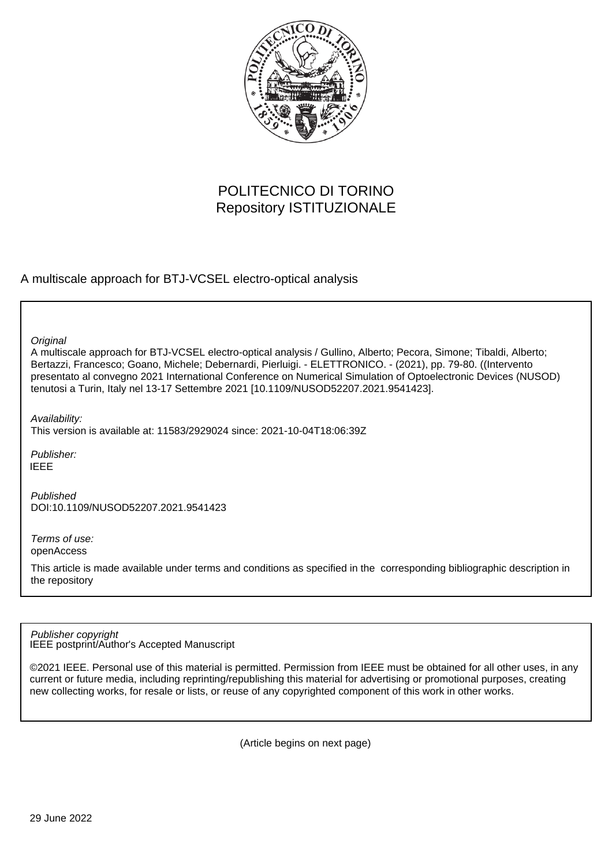

## POLITECNICO DI TORINO Repository ISTITUZIONALE

A multiscale approach for BTJ-VCSEL electro-optical analysis

**Original** 

A multiscale approach for BTJ-VCSEL electro-optical analysis / Gullino, Alberto; Pecora, Simone; Tibaldi, Alberto; Bertazzi, Francesco; Goano, Michele; Debernardi, Pierluigi. - ELETTRONICO. - (2021), pp. 79-80. ((Intervento presentato al convegno 2021 International Conference on Numerical Simulation of Optoelectronic Devices (NUSOD) tenutosi a Turin, Italy nel 13-17 Settembre 2021 [10.1109/NUSOD52207.2021.9541423].

Availability:

This version is available at: 11583/2929024 since: 2021-10-04T18:06:39Z

Publisher: IEEE

Published DOI:10.1109/NUSOD52207.2021.9541423

Terms of use: openAccess

This article is made available under terms and conditions as specified in the corresponding bibliographic description in the repository

IEEE postprint/Author's Accepted Manuscript Publisher copyright

©2021 IEEE. Personal use of this material is permitted. Permission from IEEE must be obtained for all other uses, in any current or future media, including reprinting/republishing this material for advertising or promotional purposes, creating new collecting works, for resale or lists, or reuse of any copyrighted component of this work in other works.

(Article begins on next page)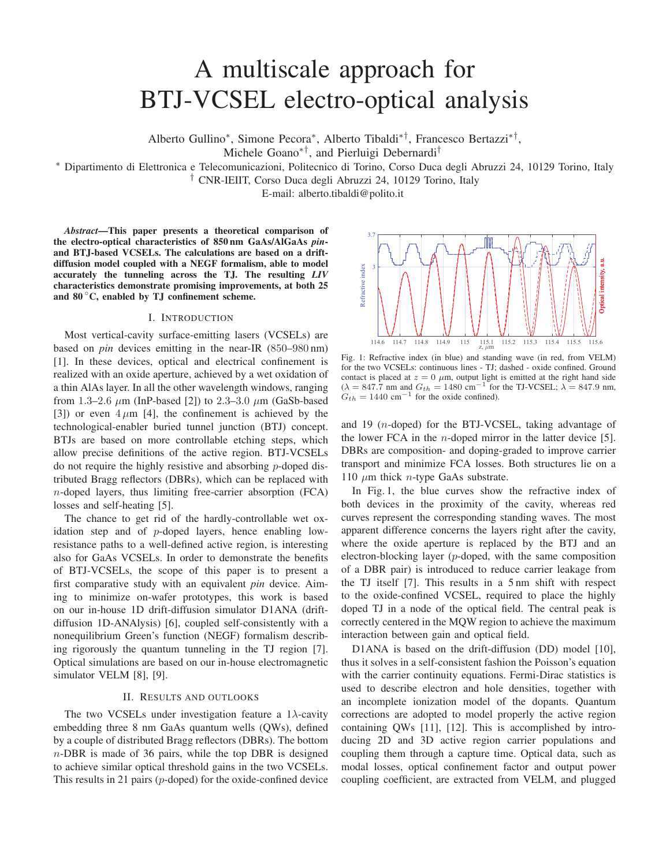# A multiscale approach for BTJ-VCSEL electro-optical analysis

Alberto Gullino∗, Simone Pecora∗, Alberto Tibaldi∗†, Francesco Bertazzi∗†,

Michele Goano∗†, and Pierluigi Debernardi†

∗ Dipartimento di Elettronica e Telecomunicazioni, Politecnico di Torino, Corso Duca degli Abruzzi 24, 10129 Torino, Italy

† CNR-IEIIT, Corso Duca degli Abruzzi 24, 10129 Torino, Italy

E-mail: alberto.tibaldi@polito.it

*Abstract*—This paper presents a theoretical comparison of the electro-optical characteristics of 850 nm GaAs/AlGaAs *pin*and BTJ-based VCSELs. The calculations are based on a driftdiffusion model coupled with a NEGF formalism, able to model accurately the tunneling across the TJ. The resulting *LIV* characteristics demonstrate promising improvements, at both 25 and  $80^{\circ}$ C, enabled by TJ confinement scheme.

### I. INTRODUCTION

Most vertical-cavity surface-emitting lasers (VCSELs) are based on *pin* devices emitting in the near-IR (850–980 nm) [1]. In these devices, optical and electrical confinement is realized with an oxide aperture, achieved by a wet oxidation of a thin AlAs layer. In all the other wavelength windows, ranging from 1.3–2.6  $\mu$ m (InP-based [2]) to 2.3–3.0  $\mu$ m (GaSb-based [3]) or even  $4 \mu m$  [4], the confinement is achieved by the technological-enabler buried tunnel junction (BTJ) concept. BTJs are based on more controllable etching steps, which allow precise definitions of the active region. BTJ-VCSELs do not require the highly resistive and absorbing p-doped distributed Bragg reflectors (DBRs), which can be replaced with n-doped layers, thus limiting free-carrier absorption (FCA) losses and self-heating [5].

The chance to get rid of the hardly-controllable wet oxidation step and of  $p$ -doped layers, hence enabling lowresistance paths to a well-defined active region, is interesting also for GaAs VCSELs. In order to demonstrate the benefits of BTJ-VCSELs, the scope of this paper is to present a first comparative study with an equivalent *pin* device. Aiming to minimize on-wafer prototypes, this work is based on our in-house 1D drift-diffusion simulator D1ANA (driftdiffusion 1D-ANAlysis) [6], coupled self-consistently with a nonequilibrium Green's function (NEGF) formalism describing rigorously the quantum tunneling in the TJ region [7]. Optical simulations are based on our in-house electromagnetic simulator VELM [8], [9].

### II. RESULTS AND OUTLOOKS

The two VCSELs under investigation feature a 1 $\lambda$ -cavity embedding three 8 nm GaAs quantum wells (QWs), defined by a couple of distributed Bragg reflectors (DBRs). The bottom  $n$ -DBR is made of 36 pairs, while the top DBR is designed to achieve similar optical threshold gains in the two VCSELs. This results in 21 pairs (p-doped) for the oxide-confined device



Fig. 1: Refractive index (in blue) and standing wave (in red, from VELM) for the two VCSELs: continuous lines - TJ; dashed - oxide confined. Ground contact is placed at  $z = 0$   $\mu$ m, output light is emitted at the right hand side  $(\lambda = 847.7 \text{ nm}$  and  $G_{th} = 1480 \text{ cm}^{-1}$  for the TJ-VCSEL;  $\lambda = 847.9 \text{ nm}$ ,  $G_{th} = 1440$  cm<sup>-1</sup> for the oxide confined).

and 19 (n-doped) for the BTJ-VCSEL, taking advantage of the lower FCA in the  $n$ -doped mirror in the latter device [5]. DBRs are composition- and doping-graded to improve carrier transport and minimize FCA losses. Both structures lie on a 110  $\mu$ m thick *n*-type GaAs substrate.

In Fig. 1, the blue curves show the refractive index of both devices in the proximity of the cavity, whereas red curves represent the corresponding standing waves. The most apparent difference concerns the layers right after the cavity, where the oxide aperture is replaced by the BTJ and an electron-blocking layer (p-doped, with the same composition of a DBR pair) is introduced to reduce carrier leakage from the TJ itself [7]. This results in a 5 nm shift with respect to the oxide-confined VCSEL, required to place the highly doped TJ in a node of the optical field. The central peak is correctly centered in the MQW region to achieve the maximum interaction between gain and optical field.

D1ANA is based on the drift-diffusion (DD) model [10], thus it solves in a self-consistent fashion the Poisson's equation with the carrier continuity equations. Fermi-Dirac statistics is used to describe electron and hole densities, together with an incomplete ionization model of the dopants. Quantum corrections are adopted to model properly the active region containing QWs [11], [12]. This is accomplished by introducing 2D and 3D active region carrier populations and coupling them through a capture time. Optical data, such as modal losses, optical confinement factor and output power coupling coefficient, are extracted from VELM, and plugged